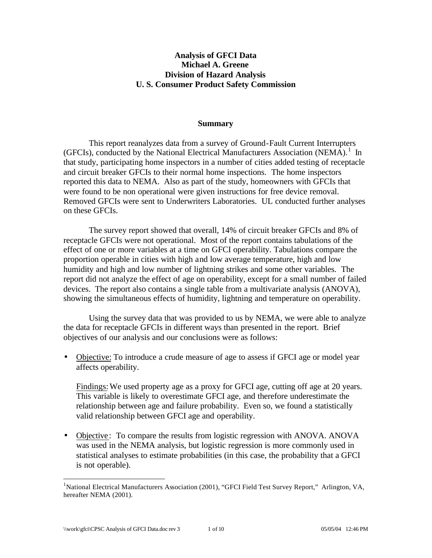## **Analysis of GFCI Data Michael A. Greene Division of Hazard Analysis U. S. Consumer Product Safety Commission**

#### **Summary**

This report reanalyzes data from a survey of Ground-Fault Current Interrupters (GFCIs), conducted by the National Electrical Manufacturers Association (NEMA).<sup>1</sup> In that study, participating home inspectors in a number of cities added testing of receptacle and circuit breaker GFCIs to their normal home inspections. The home inspectors reported this data to NEMA. Also as part of the study, homeowners with GFCIs that were found to be non operational were given instructions for free device removal. Removed GFCIs were sent to Underwriters Laboratories. UL conducted further analyses on these GFCIs.

The survey report showed that overall, 14% of circuit breaker GFCIs and 8% of receptacle GFCIs were not operational. Most of the report contains tabulations of the effect of one or more variables at a time on GFCI operability. Tabulations compare the proportion operable in cities with high and low average temperature, high and low humidity and high and low number of lightning strikes and some other variables. The report did not analyze the effect of age on operability, except for a small number of failed devices. The report also contains a single table from a multivariate analysis (ANOVA), showing the simultaneous effects of humidity, lightning and temperature on operability.

Using the survey data that was provided to us by NEMA, we were able to analyze the data for receptacle GFCIs in different ways than presented in the report. Brief objectives of our analysis and our conclusions were as follows:

• Objective: To introduce a crude measure of age to assess if GFCI age or model year affects operability.

Findings: We used property age as a proxy for GFCI age, cutting off age at 20 years. This variable is likely to overestimate GFCI age, and therefore underestimate the relationship between age and failure probability. Even so, we found a statistically valid relationship between GFCI age and operability.

• Objective: To compare the results from logistic regression with ANOVA. ANOVA was used in the NEMA analysis, but logistic regression is more commonly used in statistical analyses to estimate probabilities (in this case, the probability that a GFCI is not operable).

<sup>&</sup>lt;sup>1</sup>National Electrical Manufacturers Association (2001), "GFCI Field Test Survey Report," Arlington, VA, hereafter NEMA (2001).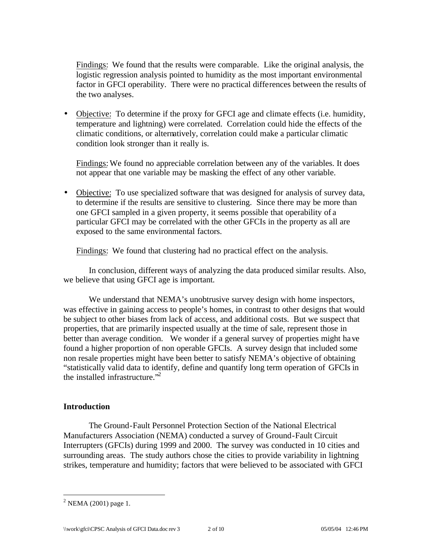Findings: We found that the results were comparable. Like the original analysis, the logistic regression analysis pointed to humidity as the most important environmental factor in GFCI operability. There were no practical differences between the results of the two analyses.

• Objective: To determine if the proxy for GFCI age and climate effects (i.e. humidity, temperature and lightning) were correlated. Correlation could hide the effects of the climatic conditions, or alternatively, correlation could make a particular climatic condition look stronger than it really is.

Findings: We found no appreciable correlation between any of the variables. It does not appear that one variable may be masking the effect of any other variable.

• Objective: To use specialized software that was designed for analysis of survey data, to determine if the results are sensitive to clustering. Since there may be more than one GFCI sampled in a given property, it seems possible that operability of a particular GFCI may be correlated with the other GFCIs in the property as all are exposed to the same environmental factors.

Findings: We found that clustering had no practical effect on the analysis.

In conclusion, different ways of analyzing the data produced similar results. Also, we believe that using GFCI age is important.

We understand that NEMA's unobtrusive survey design with home inspectors, was effective in gaining access to people's homes, in contrast to other designs that would be subject to other biases from lack of access, and additional costs. But we suspect that properties, that are primarily inspected usually at the time of sale, represent those in better than average condition. We wonder if a general survey of properties might have found a higher proportion of non operable GFCIs. A survey design that included some non resale properties might have been better to satisfy NEMA's objective of obtaining "statistically valid data to identify, define and quantify long term operation of GFCIs in the installed infrastructure."<sup>2</sup>

## **Introduction**

The Ground-Fault Personnel Protection Section of the National Electrical Manufacturers Association (NEMA) conducted a survey of Ground-Fault Circuit Interrupters (GFCIs) during 1999 and 2000. The survey was conducted in 10 cities and surrounding areas. The study authors chose the cities to provide variability in lightning strikes, temperature and humidity; factors that were believed to be associated with GFCI

 $^{2}$  NEMA (2001) page 1.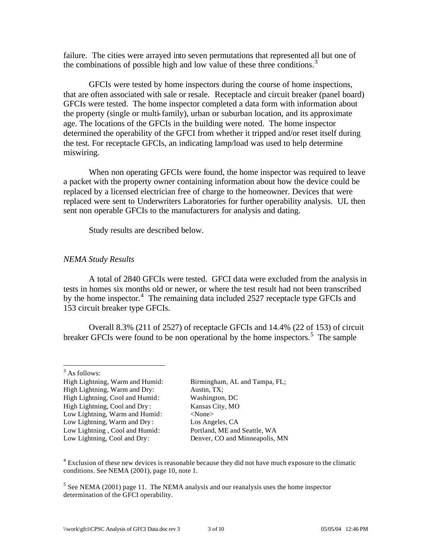failure. The cities were arrayed into seven permutations that represented all but one of the combinations of possible high and low value of these three conditions.<sup>3</sup>

GFCIs were tested by home inspectors during the course of home inspections, that are often associated with sale or resale. Receptacle and circuit breaker (panel board) GFCIs were tested. The home inspector completed a data form with information about the property (single or multi-family), urban or suburban location, and its approximate age. The locations of the GFCIs in the building were noted. The home inspector determined the operability of the GFCI from whether it tripped and/or reset itself during the test. For receptacle GFCIs, an indicating lamp/load was used to help determine miswiring.

When non operating GFCIs were found, the home inspector was required to leave a packet with the property owner containing information about how the device could be replaced by a licensed electrician free of charge to the homeowner. Devices that were replaced were sent to Underwriters Laboratories for further operability analysis. UL then sent non operable GFCIs to the manufacturers for analysis and dating.

Study results are described below.

## *NEMA Study Results*

A total of 2840 GFCIs were tested. GFCI data were excluded from the analysis in tests in homes six months old or newer, or where the test result had not been transcribed by the home inspector.<sup>4</sup> The remaining data included 2527 receptacle type GFCIs and 153 circuit breaker type GFCIs.

Overall 8.3% (211 of 2527) of receptacle GFCIs and 14.4% (22 of 153) of circuit breaker GFCIs were found to be non operational by the home inspectors.<sup>5</sup> The sample

 $\overline{a}$ 

High Lightning, Warm and Humid: Birmingham, AL and Tampa, FL; High Lightning, Warm and Dry: Austin, TX; High Lightning, Cool and Humid: Washington, DC High Lightning, Cool and Dry: Kansas City, MO Low Lightning, Warm and Humid: <None> Low Lightning, Warm and Dry : Los Angeles, CA Low Lightning , Cool and Humid: Portland, ME and Seattle, WA Low Lightning, Cool and Dry: Denver, CO and Minneapolis, MN

<sup>4</sup> Exclusion of these new devices is reasonable because they did not have much exposure to the climatic conditions. See NEMA (2001), page 10, note 1.

 $<sup>5</sup>$  See NEMA (2001) page 11. The NEMA analysis and our reanalysis uses the home inspector</sup> determination of the GFCI operability.

<sup>&</sup>lt;sup>3</sup> As follows: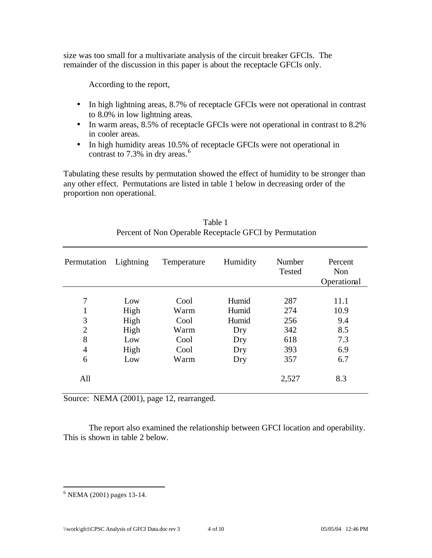size was too small for a multivariate analysis of the circuit breaker GFCIs. The remainder of the discussion in this paper is about the receptacle GFCIs only.

According to the report,

- In high lightning areas, 8.7% of receptacle GFCIs were not operational in contrast to 8.0% in low lightning areas.
- In warm areas, 8.5% of receptacle GFCIs were not operational in contrast to 8.2% in cooler areas.
- In high humidity areas 10.5% of receptacle GFCIs were not operational in contrast to  $7.3\%$  in dry areas.<sup>6</sup>

Tabulating these results by permutation showed the effect of humidity to be stronger than any other effect. Permutations are listed in table 1 below in decreasing order of the proportion non operational.

| Permutation                                          | Lightning                                  | Temperature                                  | Humidity                                     | Number<br>Tested                       | Percent<br>Non<br>Operational            |
|------------------------------------------------------|--------------------------------------------|----------------------------------------------|----------------------------------------------|----------------------------------------|------------------------------------------|
| 7<br>1<br>3<br>$\overline{2}$<br>8<br>$\overline{4}$ | Low<br>High<br>High<br>High<br>Low<br>High | Cool<br>Warm<br>Cool<br>Warm<br>Cool<br>Cool | Humid<br>Humid<br>Humid<br>Dry<br>Dry<br>Dry | 287<br>274<br>256<br>342<br>618<br>393 | 11.1<br>10.9<br>9.4<br>8.5<br>7.3<br>6.9 |
| 6<br>All                                             | Low                                        | Warm                                         | Dry                                          | 357<br>2,527                           | 6.7<br>8.3                               |

| Table 1                                                |
|--------------------------------------------------------|
| Percent of Non Operable Receptacle GFCI by Permutation |

Source: NEMA (2001), page 12, rearranged.

The report also examined the relationship between GFCI location and operability. This is shown in table 2 below.

 6 NEMA (2001) pages 13-14.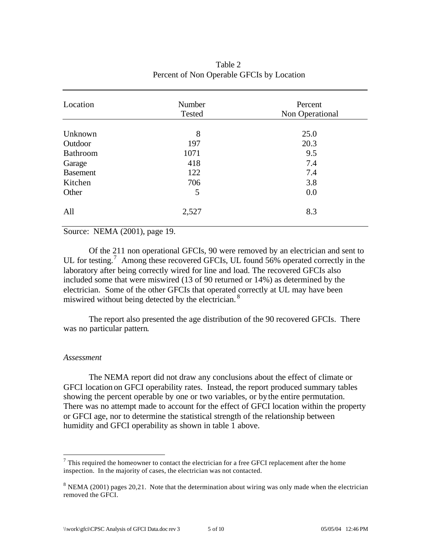| Location        | Number<br>Tested | Percent<br>Non Operational |
|-----------------|------------------|----------------------------|
|                 | 8                | 25.0                       |
| Unknown         |                  |                            |
| Outdoor         | 197              | 20.3                       |
| Bathroom        | 1071             | 9.5                        |
| Garage          | 418              | 7.4                        |
| <b>Basement</b> | 122              | 7.4                        |
| Kitchen         | 706              | 3.8                        |
| Other           | 5                | 0.0                        |
| All             | 2,527            | 8.3                        |

# Table 2 Percent of Non Operable GFCIs by Location

Source: NEMA (2001), page 19.

Of the 211 non operational GFCIs, 90 were removed by an electrician and sent to UL for testing.<sup>7</sup> Among these recovered GFCIs, UL found 56% operated correctly in the laboratory after being correctly wired for line and load. The recovered GFCIs also included some that were miswired (13 of 90 returned or 14%) as determined by the electrician. Some of the other GFCIs that operated correctly at UL may have been miswired without being detected by the electrician.<sup>8</sup>

The report also presented the age distribution of the 90 recovered GFCIs. There was no particular pattern.

#### *Assessment*

 $\overline{a}$ 

The NEMA report did not draw any conclusions about the effect of climate or GFCI location on GFCI operability rates. Instead, the report produced summary tables showing the percent operable by one or two variables, or by the entire permutation. There was no attempt made to account for the effect of GFCI location within the property or GFCI age, nor to determine the statistical strength of the relationship between humidity and GFCI operability as shown in table 1 above.

 $<sup>7</sup>$  This required the homeowner to contact the electrician for a free GFCI replacement after the home</sup> inspection. In the majority of cases, the electrician was not contacted.

 $8$  NEMA (2001) pages 20,21. Note that the determination about wiring was only made when the electrician removed the GFCI.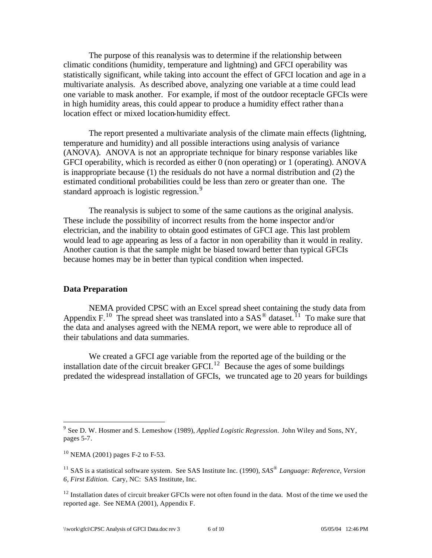The purpose of this reanalysis was to determine if the relationship between climatic conditions (humidity, temperature and lightning) and GFCI operability was statistically significant, while taking into account the effect of GFCI location and age in a multivariate analysis. As described above, analyzing one variable at a time could lead one variable to mask another. For example, if most of the outdoor receptacle GFCIs were in high humidity areas, this could appear to produce a humidity effect rather than a location effect or mixed location-humidity effect.

The report presented a multivariate analysis of the climate main effects (lightning, temperature and humidity) and all possible interactions using analysis of variance (ANOVA). ANOVA is not an appropriate technique for binary response variables like GFCI operability, which is recorded as either 0 (non operating) or 1 (operating). ANOVA is inappropriate because (1) the residuals do not have a normal distribution and (2) the estimated conditional probabilities could be less than zero or greater than one. The standard approach is logistic regression.<sup>9</sup>

The reanalysis is subject to some of the same cautions as the original analysis. These include the possibility of incorrect results from the home inspector and/or electrician, and the inability to obtain good estimates of GFCI age. This last problem would lead to age appearing as less of a factor in non operability than it would in reality. Another caution is that the sample might be biased toward better than typical GFCIs because homes may be in better than typical condition when inspected.

### **Data Preparation**

NEMA provided CPSC with an Excel spread sheet containing the study data from Appendix F.<sup>10</sup> The spread sheet was translated into a  $SAS^{\circledast}$  dataset.<sup>11</sup> To make sure that the data and analyses agreed with the NEMA report, we were able to reproduce all of their tabulations and data summaries.

We created a GFCI age variable from the reported age of the building or the installation date of the circuit breaker GFCI.<sup>12</sup> Because the ages of some buildings predated the widespread installation of GFCIs, we truncated age to 20 years for buildings

<sup>9</sup> See D. W. Hosmer and S. Lemeshow (1989), *Applied Logistic Regression.* John Wiley and Sons, NY, pages 5-7.

 $10$  NEMA (2001) pages F-2 to F-53.

<sup>11</sup> SAS is a statistical software system. See SAS Institute Inc. (1990), *SAS® Language: Reference, Version 6, First Edition.* Cary, NC: SAS Institute, Inc.

<sup>&</sup>lt;sup>12</sup> Installation dates of circuit breaker GFCIs were not often found in the data. Most of the time we used the reported age. See NEMA (2001), Appendix F.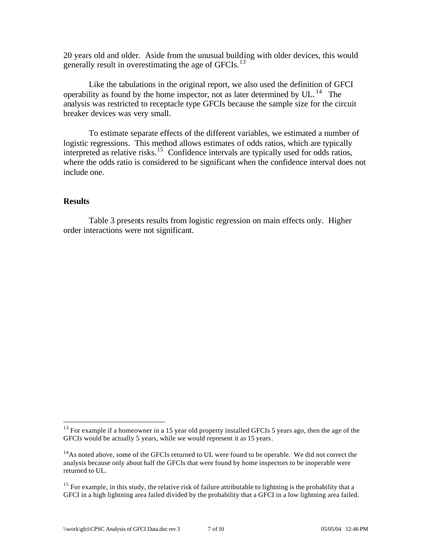20 years old and older. Aside from the unusual building with older devices, this would generally result in overestimating the age of GFCIs.<sup>13</sup>

Like the tabulations in the original report, we also used the definition of GFCI operability as found by the home inspector, not as later determined by UL. <sup>14</sup> The analysis was restricted to receptacle type GFCIs because the sample size for the circuit breaker devices was very small.

To estimate separate effects of the different variables, we estimated a number of logistic regressions. This method allows estimates of odds ratios, which are typically interpreted as relative risks.<sup>15</sup> Confidence intervals are typically used for odds ratios, where the odds ratio is considered to be significant when the confidence interval does not include one.

#### **Results**

 $\overline{a}$ 

Table 3 presents results from logistic regression on main effects only. Higher order interactions were not significant.

 $13$  For example if a homeowner in a 15 year old property installed GFCIs 5 years ago, then the age of the GFCIs would be actually 5 years, while we would represent it as 15 years.

 $14$ As noted above, some of the GFCIs returned to UL were found to be operable. We did not correct the analysis because only about half the GFCIs that were found by home inspectors to be inoperable were returned to UL.

<sup>&</sup>lt;sup>15</sup> For example, in this study, the relative risk of failure attributable to lightning is the probability that a GFCI in a high lightning area failed divided by the probability that a GFCI in a low lightning area failed.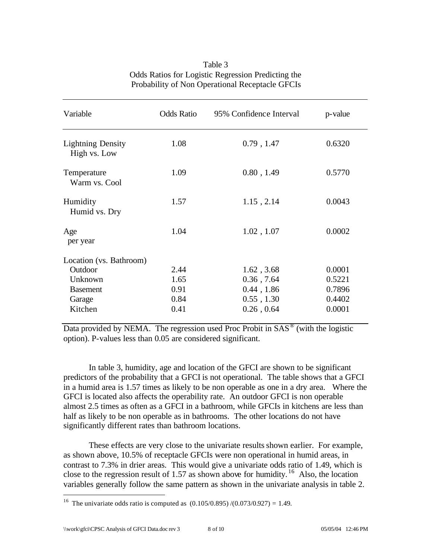| Variable                                 | <b>Odds Ratio</b> | 95% Confidence Interval | p-value |
|------------------------------------------|-------------------|-------------------------|---------|
| <b>Lightning Density</b><br>High vs. Low | 1.08              | $0.79$ , 1.47           | 0.6320  |
| Temperature<br>Warm vs. Cool             | 1.09              | 0.80, 1.49              | 0.5770  |
| Humidity<br>Humid vs. Dry                | 1.57              | 1.15, 2.14              | 0.0043  |
| Age<br>per year                          | 1.04              | 1.02, 1.07              | 0.0002  |
| Location (vs. Bathroom)<br>Outdoor       | 2.44              | 1.62, 3.68              | 0.0001  |
| Unknown                                  | 1.65              | $0.36$ , $7.64$         | 0.5221  |
| <b>Basement</b>                          | 0.91              | 0.44, 1.86              | 0.7896  |
| Garage                                   | 0.84              | $0.55$ , $1.30$         | 0.4402  |
| Kitchen                                  | 0.41              | 0.26, 0.64              | 0.0001  |

## Table 3 Odds Ratios for Logistic Regression Predicting the Probability of Non Operational Receptacle GFCIs

Data provided by NEMA. The regression used Proc Probit in  $SAS^{\circledast}$  (with the logistic option). P-values less than 0.05 are considered significant.

In table 3, humidity, age and location of the GFCI are shown to be significant predictors of the probability that a GFCI is not operational. The table shows that a GFCI in a humid area is 1.57 times as likely to be non operable as one in a dry area. Where the GFCI is located also affects the operability rate. An outdoor GFCI is non operable almost 2.5 times as often as a GFCI in a bathroom, while GFCIs in kitchens are less than half as likely to be non operable as in bathrooms. The other locations do not have significantly different rates than bathroom locations.

These effects are very close to the univariate results shown earlier. For example, as shown above, 10.5% of receptacle GFCIs were non operational in humid areas, in contrast to 7.3% in drier areas. This would give a univariate odds ratio of 1.49, which is close to the regression result of 1.57 as shown above for humidity.<sup>16</sup> Also, the location variables generally follow the same pattern as shown in the univariate analysis in table 2.

<sup>&</sup>lt;sup>16</sup> The univariate odds ratio is computed as  $(0.105/0.895)/(0.073/0.927) = 1.49$ .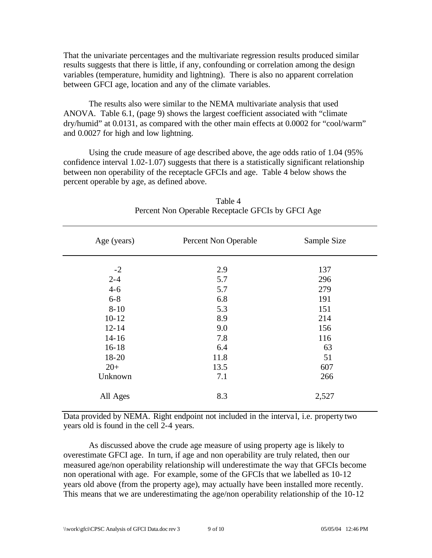That the univariate percentages and the multivariate regression results produced similar results suggests that there is little, if any, confounding or correlation among the design variables (temperature, humidity and lightning). There is also no apparent correlation between GFCI age, location and any of the climate variables.

The results also were similar to the NEMA multivariate analysis that used ANOVA. Table 6.1, (page 9) shows the largest coefficient associated with "climate dry/humid" at 0.0131, as compared with the other main effects at 0.0002 for "cool/warm" and 0.0027 for high and low lightning.

Using the crude measure of age described above, the age odds ratio of 1.04 (95% confidence interval 1.02-1.07) suggests that there is a statistically significant relationship between non operability of the receptacle GFCIs and age. Table 4 below shows the percent operable by age, as defined above.

| Age (years) | Percent Non Operable | Sample Size |
|-------------|----------------------|-------------|
| $-2$        | 2.9                  | 137         |
| $2 - 4$     | 5.7                  | 296         |
| $4 - 6$     | 5.7                  | 279         |
| $6 - 8$     | 6.8                  | 191         |
| $8 - 10$    | 5.3                  | 151         |
| $10 - 12$   | 8.9                  | 214         |
| $12 - 14$   | 9.0                  | 156         |
| $14 - 16$   | 7.8                  | 116         |
| $16 - 18$   | 6.4                  | 63          |
| 18-20       | 11.8                 | 51          |
| $20+$       | 13.5                 | 607         |
| Unknown     | 7.1                  | 266         |
| All Ages    | 8.3                  | 2,527       |

| Table 4                                           |  |
|---------------------------------------------------|--|
| Percent Non Operable Receptacle GFCIs by GFCI Age |  |

Data provided by NEMA. Right endpoint not included in the interva l, i.e. property two years old is found in the cell 2-4 years.

As discussed above the crude age measure of using property age is likely to overestimate GFCI age. In turn, if age and non operability are truly related, then our measured age/non operability relationship will underestimate the way that GFCIs become non operational with age. For example, some of the GFCIs that we labelled as 10-12 years old above (from the property age), may actually have been installed more recently. This means that we are underestimating the age/non operability relationship of the 10-12